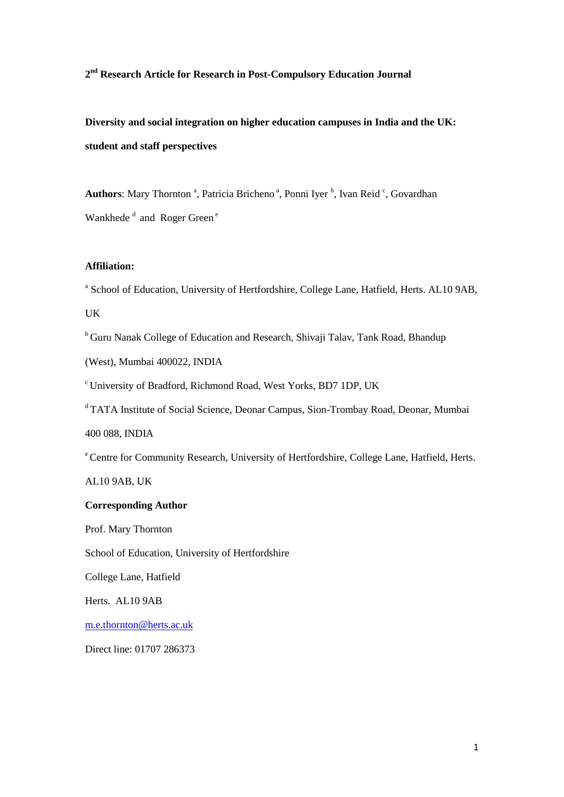**2 nd Research Article for Research in Post-Compulsory Education Journal**

**Diversity and social integration on higher education campuses in India and the UK: student and staff perspectives**

Authors: Mary Thornton<sup>a</sup>, Patricia Bricheno<sup>a</sup>, Ponni Iyer<sup>b</sup>, Ivan Reid<sup>c</sup>, Govardhan Wankhede<sup>d</sup> and Roger Green<sup>e</sup>

#### **Affiliation:**

<sup>a</sup> School of Education, University of Hertfordshire, College Lane, Hatfield, Herts. AL10 9AB,

UK

<sup>b</sup> Guru Nanak College of Education and Research, Shivaji Talav, Tank Road, Bhandup

(West), Mumbai 400022, INDIA

<sup>c</sup>University of Bradford, Richmond Road, West Yorks, BD7 1DP, UK

<sup>d</sup>TATA Institute of Social Science, Deonar Campus, Sion-Trombay Road, Deonar, Mumbai

400 088, INDIA

<sup>e</sup> Centre for Community Research, University of Hertfordshire, College Lane, Hatfield, Herts.

AL10 9AB, UK

#### **Corresponding Author**

Prof. Mary Thornton

School of Education, University of Hertfordshire

College Lane, Hatfield

Herts. AL10 9AB

[m.e.thornton@herts.ac.uk](mailto:m.e.thornton@herts.ac.uk)

Direct line: 01707 286373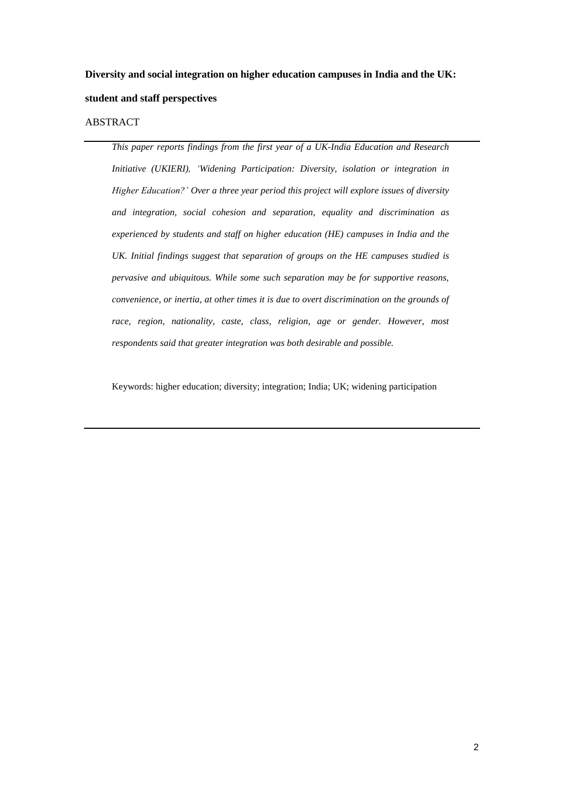### **Diversity and social integration on higher education campuses in India and the UK: student and staff perspectives**

#### ABSTRACT

*This paper reports findings from the first year of a UK-India Education and Research Initiative (UKIERI), "Widening Participation: Diversity, isolation or integration in Higher Education?" Over a three year period this project will explore issues of diversity and integration, social cohesion and separation, equality and discrimination as experienced by students and staff on higher education (HE) campuses in India and the UK. Initial findings suggest that separation of groups on the HE campuses studied is pervasive and ubiquitous. While some such separation may be for supportive reasons, convenience, or inertia, at other times it is due to overt discrimination on the grounds of race, region, nationality, caste, class, religion, age or gender. However, most respondents said that greater integration was both desirable and possible.* 

Keywords: higher education; diversity; integration; India; UK; widening participation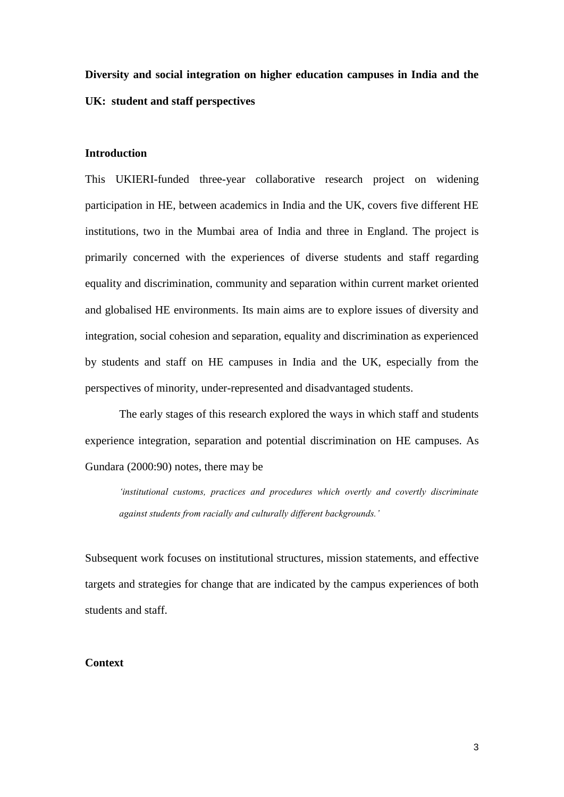**Diversity and social integration on higher education campuses in India and the UK: student and staff perspectives** 

### **Introduction**

This UKIERI-funded three-year collaborative research project on widening participation in HE, between academics in India and the UK, covers five different HE institutions, two in the Mumbai area of India and three in England. The project is primarily concerned with the experiences of diverse students and staff regarding equality and discrimination, community and separation within current market oriented and globalised HE environments. Its main aims are to explore issues of diversity and integration, social cohesion and separation, equality and discrimination as experienced by students and staff on HE campuses in India and the UK, especially from the perspectives of minority, under-represented and disadvantaged students.

The early stages of this research explored the ways in which staff and students experience integration, separation and potential discrimination on HE campuses. As Gundara (2000:90) notes, there may be

*"institutional customs, practices and procedures which overtly and covertly discriminate against students from racially and culturally different backgrounds."* 

Subsequent work focuses on institutional structures, mission statements, and effective targets and strategies for change that are indicated by the campus experiences of both students and staff.

### **Context**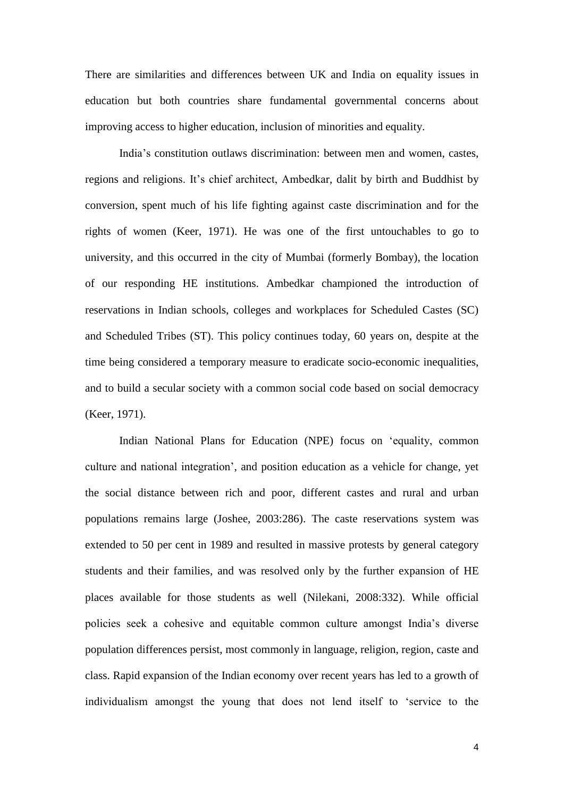There are similarities and differences between UK and India on equality issues in education but both countries share fundamental governmental concerns about improving access to higher education, inclusion of minorities and equality.

India"s constitution outlaws discrimination: between men and women, castes, regions and religions. It's chief architect, Ambedkar, dalit by birth and Buddhist by conversion, spent much of his life fighting against caste discrimination and for the rights of women (Keer, 1971). He was one of the first untouchables to go to university, and this occurred in the city of Mumbai (formerly Bombay), the location of our responding HE institutions. Ambedkar championed the introduction of reservations in Indian schools, colleges and workplaces for Scheduled Castes (SC) and Scheduled Tribes (ST). This policy continues today, 60 years on, despite at the time being considered a temporary measure to eradicate socio-economic inequalities, and to build a secular society with a common social code based on social democracy (Keer, 1971).

Indian National Plans for Education (NPE) focus on "equality, common culture and national integration", and position education as a vehicle for change, yet the social distance between rich and poor, different castes and rural and urban populations remains large (Joshee, 2003:286). The caste reservations system was extended to 50 per cent in 1989 and resulted in massive protests by general category students and their families, and was resolved only by the further expansion of HE places available for those students as well (Nilekani, 2008:332). While official policies seek a cohesive and equitable common culture amongst India"s diverse population differences persist, most commonly in language, religion, region, caste and class. Rapid expansion of the Indian economy over recent years has led to a growth of individualism amongst the young that does not lend itself to "service to the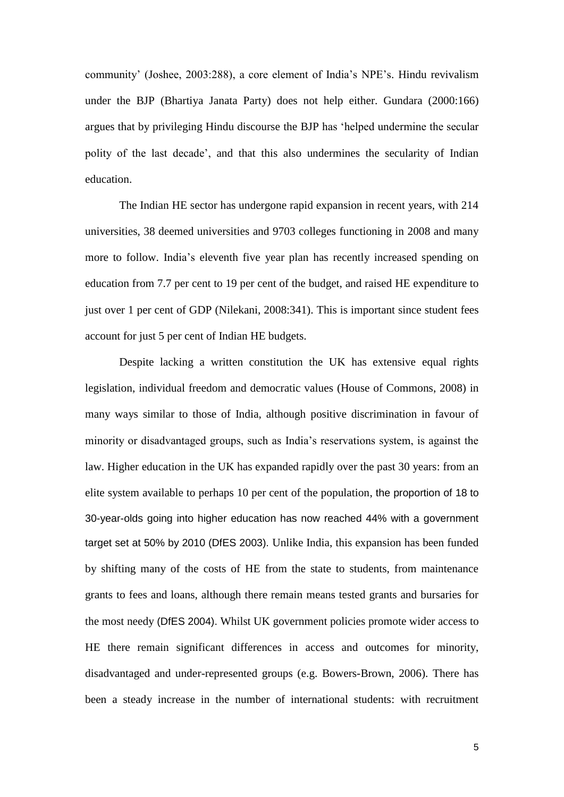community" (Joshee, 2003:288), a core element of India"s NPE"s. Hindu revivalism under the BJP (Bhartiya Janata Party) does not help either. Gundara (2000:166) argues that by privileging Hindu discourse the BJP has "helped undermine the secular polity of the last decade", and that this also undermines the secularity of Indian education.

The Indian HE sector has undergone rapid expansion in recent years, with 214 universities, 38 deemed universities and 9703 colleges functioning in 2008 and many more to follow. India"s eleventh five year plan has recently increased spending on education from 7.7 per cent to 19 per cent of the budget, and raised HE expenditure to just over 1 per cent of GDP (Nilekani, 2008:341). This is important since student fees account for just 5 per cent of Indian HE budgets.

Despite lacking a written constitution the UK has extensive equal rights legislation, individual freedom and democratic values (House of Commons, 2008) in many ways similar to those of India, although positive discrimination in favour of minority or disadvantaged groups, such as India"s reservations system, is against the law. Higher education in the UK has expanded rapidly over the past 30 years: from an elite system available to perhaps 10 per cent of the population, the proportion of 18 to 30-year-olds going into higher education has now reached 44% with a government target set at 50% by 2010 (DfES 2003). Unlike India, this expansion has been funded by shifting many of the costs of HE from the state to students, from maintenance grants to fees and loans, although there remain means tested grants and bursaries for the most needy (DfES 2004). Whilst UK government policies promote wider access to HE there remain significant differences in access and outcomes for minority, disadvantaged and under-represented groups (e.g. Bowers-Brown, 2006). There has been a steady increase in the number of international students: with recruitment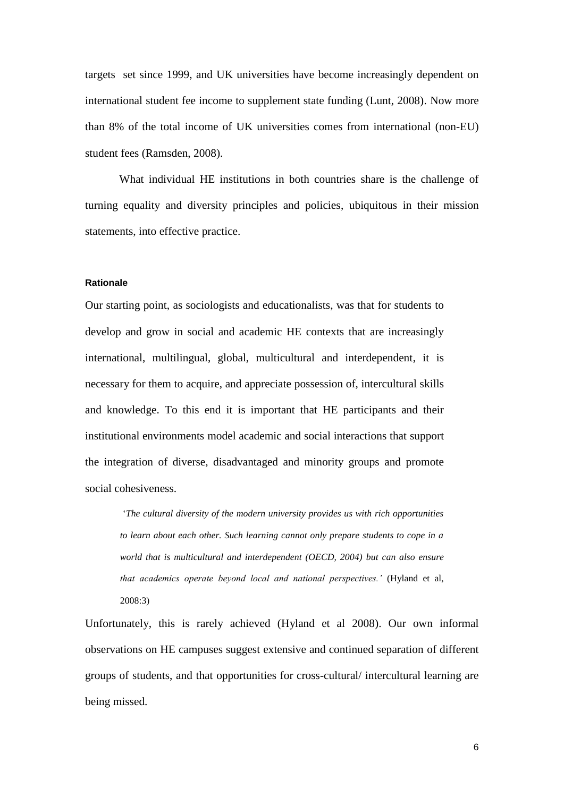targets set since 1999, and UK universities have become increasingly dependent on international student fee income to supplement state funding (Lunt, 2008). Now more than 8% of the total income of UK universities comes from international (non-EU) student fees (Ramsden, 2008).

What individual HE institutions in both countries share is the challenge of turning equality and diversity principles and policies, ubiquitous in their mission statements, into effective practice.

#### **Rationale**

Our starting point, as sociologists and educationalists, was that for students to develop and grow in social and academic HE contexts that are increasingly international, multilingual, global, multicultural and interdependent, it is necessary for them to acquire, and appreciate possession of, intercultural skills and knowledge. To this end it is important that HE participants and their institutional environments model academic and social interactions that support the integration of diverse, disadvantaged and minority groups and promote social cohesiveness.

"*The cultural diversity of the modern university provides us with rich opportunities to learn about each other. Such learning cannot only prepare students to cope in a world that is multicultural and interdependent (OECD, 2004) but can also ensure that academics operate beyond local and national perspectives."* (Hyland et al, 2008:3)

Unfortunately, this is rarely achieved (Hyland et al 2008). Our own informal observations on HE campuses suggest extensive and continued separation of different groups of students, and that opportunities for cross-cultural/ intercultural learning are being missed.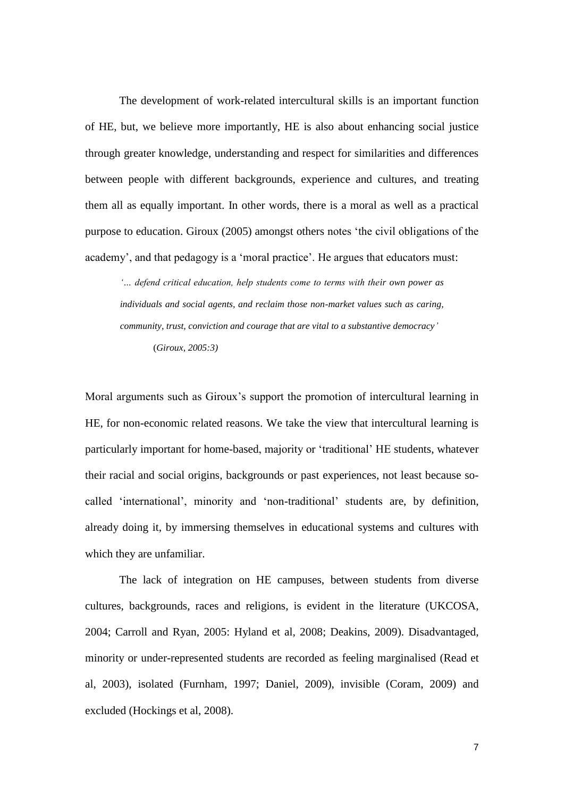The development of work-related intercultural skills is an important function of HE, but, we believe more importantly, HE is also about enhancing social justice through greater knowledge, understanding and respect for similarities and differences between people with different backgrounds, experience and cultures, and treating them all as equally important. In other words, there is a moral as well as a practical purpose to education. Giroux (2005) amongst others notes "the civil obligations of the academy', and that pedagogy is a 'moral practice'. He argues that educators must:

*"… defend critical education, help students come to terms with their own power as individuals and social agents, and reclaim those non-market values such as caring, community, trust, conviction and courage that are vital to a substantive democracy"* (*Giroux, 2005:3)*

Moral arguments such as Giroux"s support the promotion of intercultural learning in HE, for non-economic related reasons. We take the view that intercultural learning is particularly important for home-based, majority or "traditional" HE students, whatever their racial and social origins, backgrounds or past experiences, not least because socalled "international", minority and "non-traditional" students are, by definition, already doing it, by immersing themselves in educational systems and cultures with which they are unfamiliar.

The lack of integration on HE campuses, between students from diverse cultures, backgrounds, races and religions, is evident in the literature (UKCOSA, 2004; Carroll and Ryan, 2005: Hyland et al, 2008; Deakins, 2009). Disadvantaged, minority or under-represented students are recorded as feeling marginalised (Read et al, 2003), isolated (Furnham, 1997; Daniel, 2009), invisible (Coram, 2009) and excluded (Hockings et al, 2008).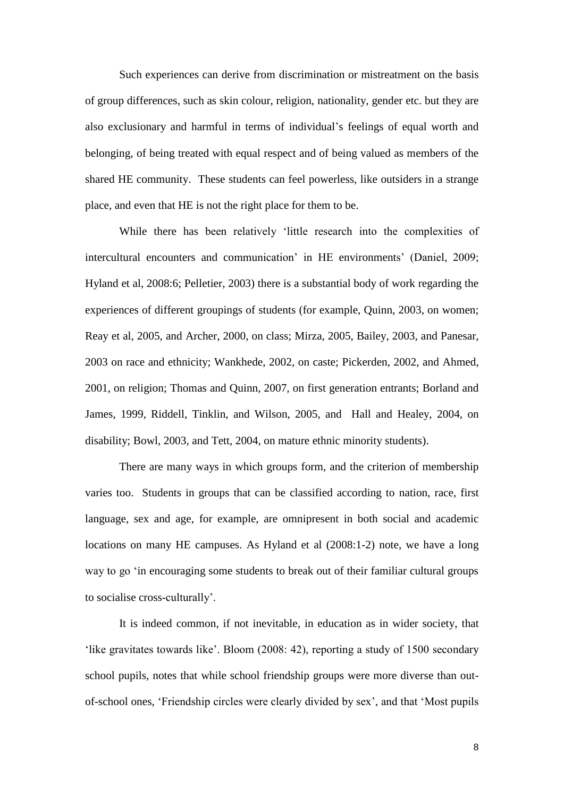Such experiences can derive from discrimination or mistreatment on the basis of group differences, such as skin colour, religion, nationality, gender etc. but they are also exclusionary and harmful in terms of individual"s feelings of equal worth and belonging, of being treated with equal respect and of being valued as members of the shared HE community. These students can feel powerless, like outsiders in a strange place, and even that HE is not the right place for them to be.

While there has been relatively "little research into the complexities of intercultural encounters and communication' in HE environments' (Daniel, 2009; Hyland et al, 2008:6; Pelletier, 2003) there is a substantial body of work regarding the experiences of different groupings of students (for example, Quinn, 2003, on women; Reay et al, 2005, and Archer, 2000, on class; Mirza, 2005, Bailey, 2003, and Panesar, 2003 on race and ethnicity; Wankhede, 2002, on caste; Pickerden, 2002, and Ahmed, 2001, on religion; Thomas and Quinn, 2007, on first generation entrants; Borland and James, 1999, Riddell, Tinklin, and Wilson, 2005, and Hall and Healey, 2004, on disability; Bowl, 2003, and Tett, 2004, on mature ethnic minority students).

There are many ways in which groups form, and the criterion of membership varies too. Students in groups that can be classified according to nation, race, first language, sex and age, for example, are omnipresent in both social and academic locations on many HE campuses. As Hyland et al (2008:1-2) note, we have a long way to go "in encouraging some students to break out of their familiar cultural groups to socialise cross-culturally".

It is indeed common, if not inevitable, in education as in wider society, that 'like gravitates towards like'. Bloom (2008: 42), reporting a study of 1500 secondary school pupils, notes that while school friendship groups were more diverse than outof-school ones, "Friendship circles were clearly divided by sex", and that "Most pupils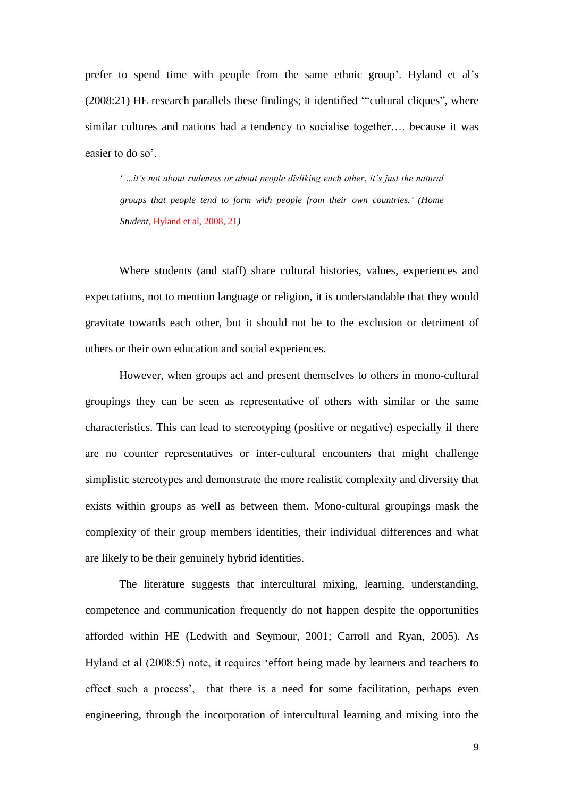prefer to spend time with people from the same ethnic group'. Hyland et al's (2008:21) HE research parallels these findings; it identified ""cultural cliques", where similar cultures and nations had a tendency to socialise together…. because it was easier to do so'.

" ...*it"s not about rudeness or about people disliking each other, it"s just the natural groups that people tend to form with people from their own countries." (Home Student,* Hyland et al, 2008, 21*)*

Where students (and staff) share cultural histories, values, experiences and expectations, not to mention language or religion, it is understandable that they would gravitate towards each other, but it should not be to the exclusion or detriment of others or their own education and social experiences.

However, when groups act and present themselves to others in mono-cultural groupings they can be seen as representative of others with similar or the same characteristics. This can lead to stereotyping (positive or negative) especially if there are no counter representatives or inter-cultural encounters that might challenge simplistic stereotypes and demonstrate the more realistic complexity and diversity that exists within groups as well as between them. Mono-cultural groupings mask the complexity of their group members identities, their individual differences and what are likely to be their genuinely hybrid identities.

The literature suggests that intercultural mixing, learning, understanding, competence and communication frequently do not happen despite the opportunities afforded within HE (Ledwith and Seymour, 2001; Carroll and Ryan, 2005). As Hyland et al (2008:5) note, it requires "effort being made by learners and teachers to effect such a process', that there is a need for some facilitation, perhaps even engineering, through the incorporation of intercultural learning and mixing into the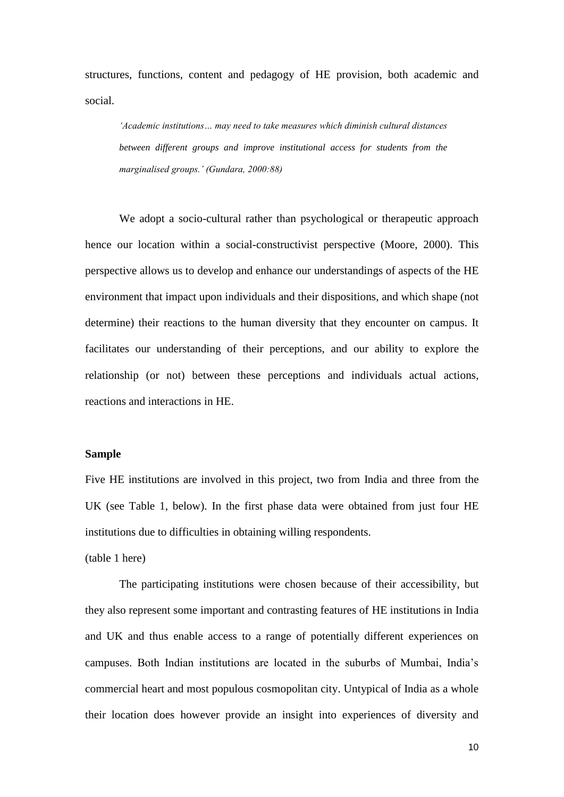structures, functions, content and pedagogy of HE provision, both academic and social.

*"Academic institutions… may need to take measures which diminish cultural distances between different groups and improve institutional access for students from the marginalised groups." (Gundara, 2000:88)*

We adopt a socio-cultural rather than psychological or therapeutic approach hence our location within a social-constructivist perspective (Moore, 2000). This perspective allows us to develop and enhance our understandings of aspects of the HE environment that impact upon individuals and their dispositions, and which shape (not determine) their reactions to the human diversity that they encounter on campus. It facilitates our understanding of their perceptions, and our ability to explore the relationship (or not) between these perceptions and individuals actual actions, reactions and interactions in HE.

#### **Sample**

Five HE institutions are involved in this project, two from India and three from the UK (see Table 1, below). In the first phase data were obtained from just four HE institutions due to difficulties in obtaining willing respondents.

### (table 1 here)

The participating institutions were chosen because of their accessibility, but they also represent some important and contrasting features of HE institutions in India and UK and thus enable access to a range of potentially different experiences on campuses. Both Indian institutions are located in the suburbs of Mumbai, India"s commercial heart and most populous cosmopolitan city. Untypical of India as a whole their location does however provide an insight into experiences of diversity and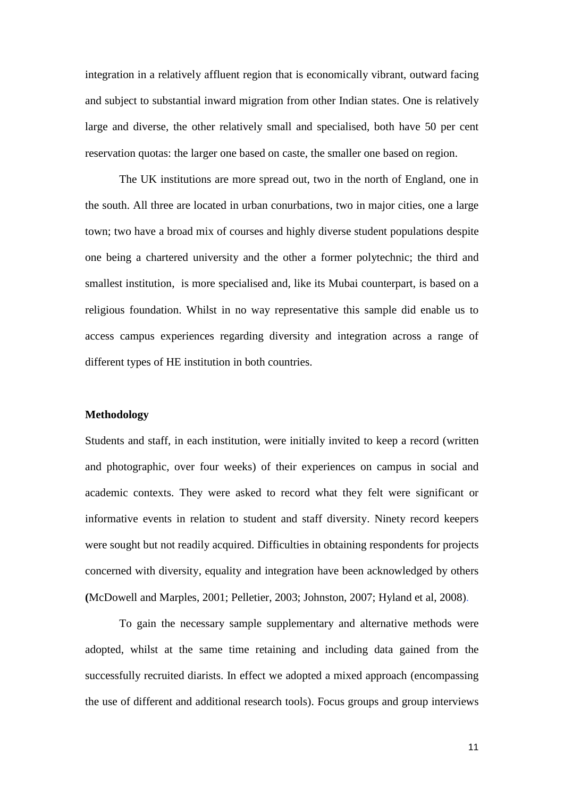integration in a relatively affluent region that is economically vibrant, outward facing and subject to substantial inward migration from other Indian states. One is relatively large and diverse, the other relatively small and specialised, both have 50 per cent reservation quotas: the larger one based on caste, the smaller one based on region.

The UK institutions are more spread out, two in the north of England, one in the south. All three are located in urban conurbations, two in major cities, one a large town; two have a broad mix of courses and highly diverse student populations despite one being a chartered university and the other a former polytechnic; the third and smallest institution, is more specialised and, like its Mubai counterpart, is based on a religious foundation. Whilst in no way representative this sample did enable us to access campus experiences regarding diversity and integration across a range of different types of HE institution in both countries.

#### **Methodology**

Students and staff, in each institution, were initially invited to keep a record (written and photographic, over four weeks) of their experiences on campus in social and academic contexts. They were asked to record what they felt were significant or informative events in relation to student and staff diversity. Ninety record keepers were sought but not readily acquired. Difficulties in obtaining respondents for projects concerned with diversity, equality and integration have been acknowledged by others **(**McDowell and Marples, 2001; Pelletier, 2003; Johnston, 2007; Hyland et al, 2008).

To gain the necessary sample supplementary and alternative methods were adopted, whilst at the same time retaining and including data gained from the successfully recruited diarists. In effect we adopted a mixed approach (encompassing the use of different and additional research tools). Focus groups and group interviews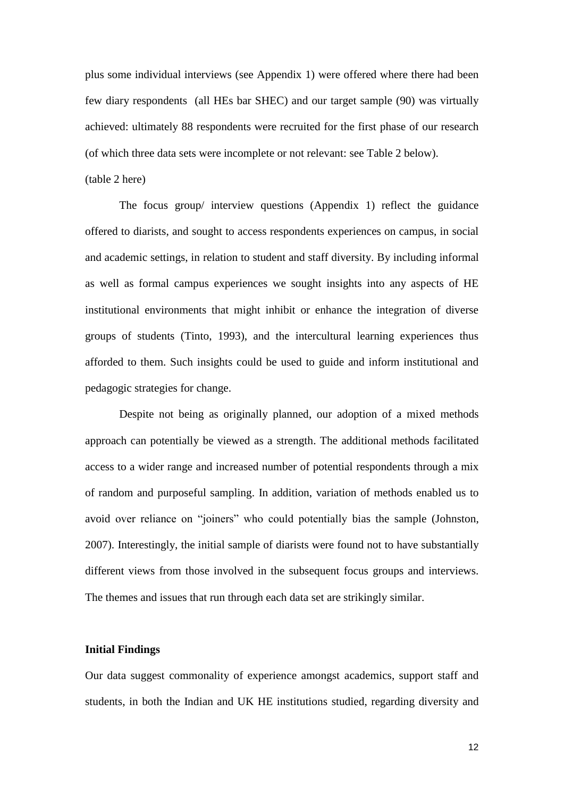plus some individual interviews (see Appendix 1) were offered where there had been few diary respondents (all HEs bar SHEC) and our target sample (90) was virtually achieved: ultimately 88 respondents were recruited for the first phase of our research (of which three data sets were incomplete or not relevant: see Table 2 below).

#### (table 2 here)

The focus group/ interview questions (Appendix 1) reflect the guidance offered to diarists, and sought to access respondents experiences on campus, in social and academic settings, in relation to student and staff diversity. By including informal as well as formal campus experiences we sought insights into any aspects of HE institutional environments that might inhibit or enhance the integration of diverse groups of students (Tinto, 1993), and the intercultural learning experiences thus afforded to them. Such insights could be used to guide and inform institutional and pedagogic strategies for change.

Despite not being as originally planned, our adoption of a mixed methods approach can potentially be viewed as a strength. The additional methods facilitated access to a wider range and increased number of potential respondents through a mix of random and purposeful sampling. In addition, variation of methods enabled us to avoid over reliance on "joiners" who could potentially bias the sample (Johnston, 2007). Interestingly, the initial sample of diarists were found not to have substantially different views from those involved in the subsequent focus groups and interviews. The themes and issues that run through each data set are strikingly similar.

### **Initial Findings**

Our data suggest commonality of experience amongst academics, support staff and students, in both the Indian and UK HE institutions studied, regarding diversity and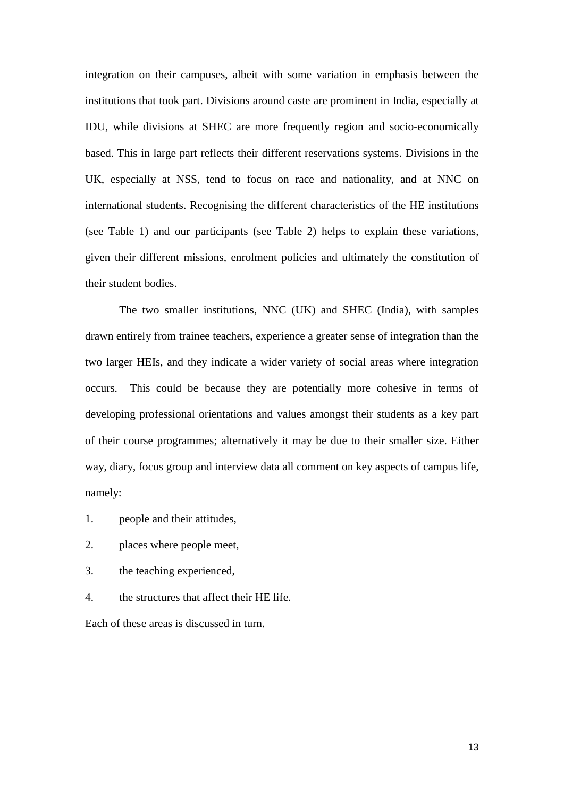integration on their campuses, albeit with some variation in emphasis between the institutions that took part. Divisions around caste are prominent in India, especially at IDU, while divisions at SHEC are more frequently region and socio-economically based. This in large part reflects their different reservations systems. Divisions in the UK, especially at NSS, tend to focus on race and nationality, and at NNC on international students. Recognising the different characteristics of the HE institutions (see Table 1) and our participants (see Table 2) helps to explain these variations, given their different missions, enrolment policies and ultimately the constitution of their student bodies.

The two smaller institutions, NNC (UK) and SHEC (India), with samples drawn entirely from trainee teachers, experience a greater sense of integration than the two larger HEIs, and they indicate a wider variety of social areas where integration occurs. This could be because they are potentially more cohesive in terms of developing professional orientations and values amongst their students as a key part of their course programmes; alternatively it may be due to their smaller size. Either way, diary, focus group and interview data all comment on key aspects of campus life, namely:

- 1. people and their attitudes,
- 2. places where people meet,
- 3. the teaching experienced,
- 4. the structures that affect their HE life.

Each of these areas is discussed in turn.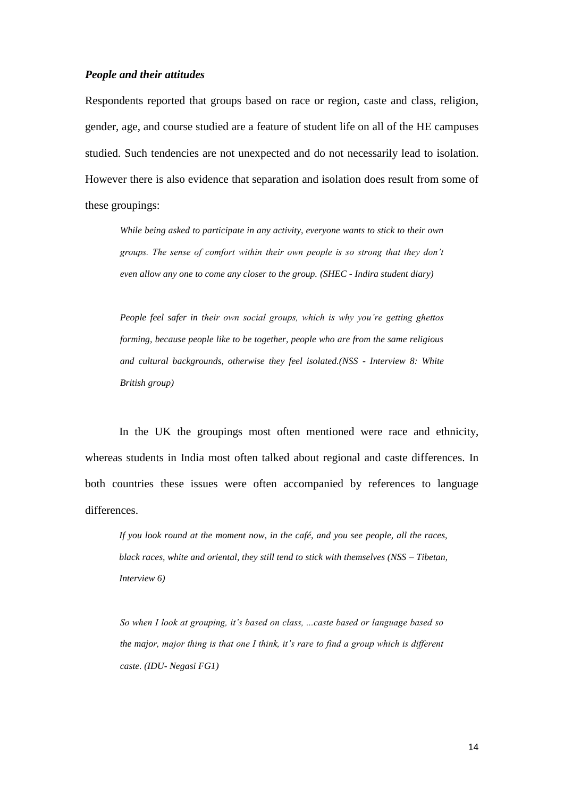#### *People and their attitudes*

Respondents reported that groups based on race or region, caste and class, religion, gender, age, and course studied are a feature of student life on all of the HE campuses studied. Such tendencies are not unexpected and do not necessarily lead to isolation. However there is also evidence that separation and isolation does result from some of these groupings:

*While being asked to participate in any activity, everyone wants to stick to their own groups. The sense of comfort within their own people is so strong that they don"t even allow any one to come any closer to the group. (SHEC - Indira student diary)*

*People feel safer in their own social groups, which is why you"re getting ghettos forming, because people like to be together, people who are from the same religious and cultural backgrounds, otherwise they feel isolated.(NSS - Interview 8: White British group)*

In the UK the groupings most often mentioned were race and ethnicity, whereas students in India most often talked about regional and caste differences. In both countries these issues were often accompanied by references to language differences.

*If you look round at the moment now, in the café, and you see people, all the races, black races, white and oriental, they still tend to stick with themselves (NSS – Tibetan, Interview 6)*

*So when I look at grouping, it"s based on class, ...caste based or language based so the major, major thing is that one I think, it"s rare to find a group which is different caste. (IDU- Negasi FG1)*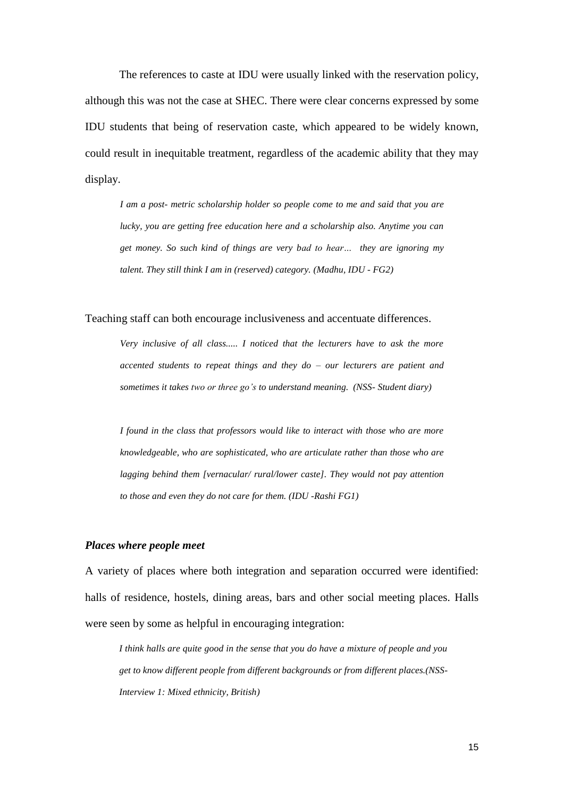The references to caste at IDU were usually linked with the reservation policy, although this was not the case at SHEC. There were clear concerns expressed by some IDU students that being of reservation caste, which appeared to be widely known, could result in inequitable treatment, regardless of the academic ability that they may display.

*I am a post- metric scholarship holder so people come to me and said that you are lucky, you are getting free education here and a scholarship also. Anytime you can get money. So such kind of things are very bad to hear… they are ignoring my talent. They still think I am in (reserved) category. (Madhu, IDU - FG2)*

Teaching staff can both encourage inclusiveness and accentuate differences.

*Very inclusive of all class..... I noticed that the lecturers have to ask the more accented students to repeat things and they do – our lecturers are patient and sometimes it takes two or three go"s to understand meaning. (NSS- Student diary)*

*I found in the class that professors would like to interact with those who are more knowledgeable, who are sophisticated, who are articulate rather than those who are lagging behind them [vernacular/ rural/lower caste]. They would not pay attention to those and even they do not care for them. (IDU -Rashi FG1)*

#### *Places where people meet*

A variety of places where both integration and separation occurred were identified: halls of residence, hostels, dining areas, bars and other social meeting places. Halls were seen by some as helpful in encouraging integration:

*I think halls are quite good in the sense that you do have a mixture of people and you get to know different people from different backgrounds or from different places.(NSS-Interview 1: Mixed ethnicity, British)*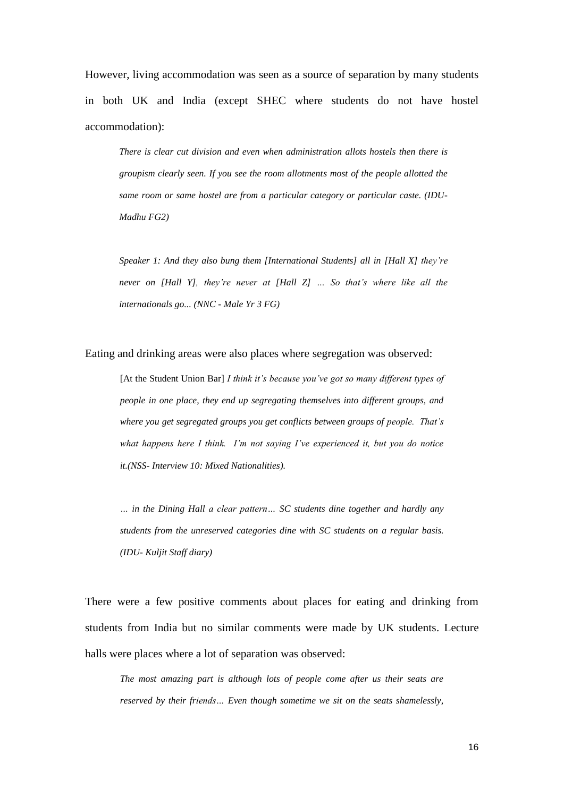However, living accommodation was seen as a source of separation by many students in both UK and India (except SHEC where students do not have hostel accommodation):

*There is clear cut division and even when administration allots hostels then there is groupism clearly seen. If you see the room allotments most of the people allotted the same room or same hostel are from a particular category or particular caste. (IDU-Madhu FG2)*

*Speaker 1: And they also bung them [International Students] all in [Hall X] they"re never on [Hall Y], they"re never at [Hall Z] … So that"s where like all the internationals go... (NNC - Male Yr 3 FG)*

Eating and drinking areas were also places where segregation was observed:

[At the Student Union Bar] *I think it's because you've got so many different types of people in one place, they end up segregating themselves into different groups, and where you get segregated groups you get conflicts between groups of people. That"s what happens here I think. I"m not saying I"ve experienced it, but you do notice it.(NSS- Interview 10: Mixed Nationalities).*

*… in the Dining Hall a clear pattern… SC students dine together and hardly any students from the unreserved categories dine with SC students on a regular basis. (IDU- Kuljit Staff diary)*

There were a few positive comments about places for eating and drinking from students from India but no similar comments were made by UK students. Lecture halls were places where a lot of separation was observed:

*The most amazing part is although lots of people come after us their seats are reserved by their friends… Even though sometime we sit on the seats shamelessly,*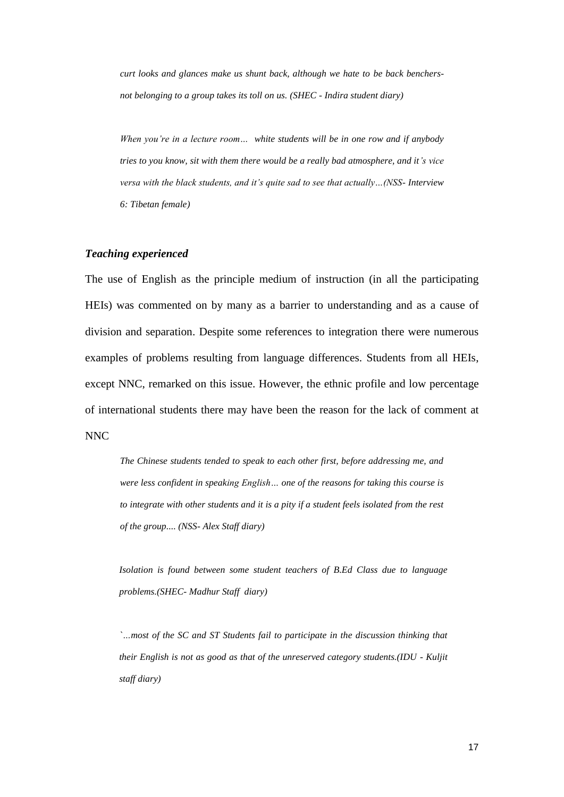*curt looks and glances make us shunt back, although we hate to be back benchersnot belonging to a group takes its toll on us. (SHEC - Indira student diary)*

*When you"re in a lecture room… white students will be in one row and if anybody tries to you know, sit with them there would be a really bad atmosphere, and it"s vice versa with the black students, and it"s quite sad to see that actually…(NSS- Interview 6: Tibetan female)*

#### *Teaching experienced*

The use of English as the principle medium of instruction (in all the participating HEIs) was commented on by many as a barrier to understanding and as a cause of division and separation. Despite some references to integration there were numerous examples of problems resulting from language differences. Students from all HEIs, except NNC, remarked on this issue. However, the ethnic profile and low percentage of international students there may have been the reason for the lack of comment at NNC

*The Chinese students tended to speak to each other first, before addressing me, and were less confident in speaking English… one of the reasons for taking this course is to integrate with other students and it is a pity if a student feels isolated from the rest of the group.... (NSS- Alex Staff diary)*

*Isolation is found between some student teachers of B.Ed Class due to language problems.(SHEC- Madhur Staff diary)*

*`…most of the SC and ST Students fail to participate in the discussion thinking that their English is not as good as that of the unreserved category students.(IDU - Kuljit staff diary)*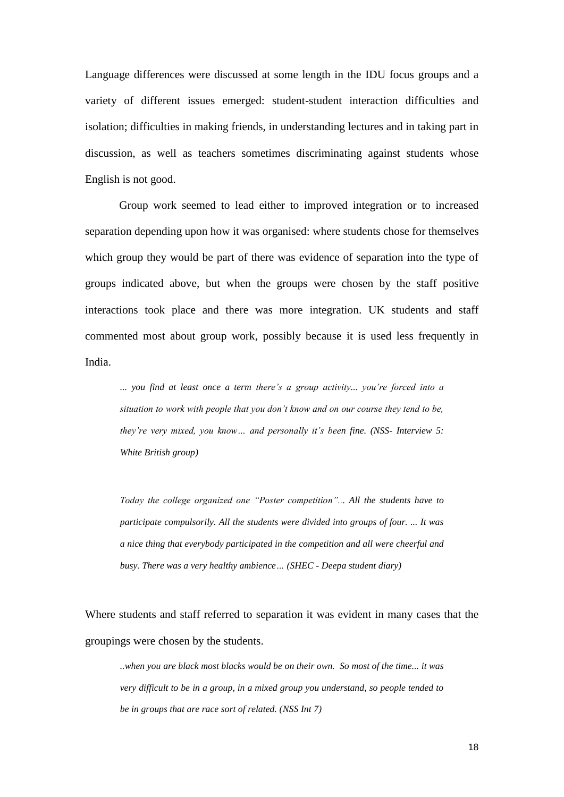Language differences were discussed at some length in the IDU focus groups and a variety of different issues emerged: student-student interaction difficulties and isolation; difficulties in making friends, in understanding lectures and in taking part in discussion, as well as teachers sometimes discriminating against students whose English is not good.

Group work seemed to lead either to improved integration or to increased separation depending upon how it was organised: where students chose for themselves which group they would be part of there was evidence of separation into the type of groups indicated above, but when the groups were chosen by the staff positive interactions took place and there was more integration. UK students and staff commented most about group work, possibly because it is used less frequently in India.

*... you find at least once a term there"s a group activity... you"re forced into a situation to work with people that you don"t know and on our course they tend to be, they"re very mixed, you know… and personally it"s been fine. (NSS- Interview 5: White British group)*

*Today the college organized one "Poster competition"... All the students have to participate compulsorily. All the students were divided into groups of four. ... It was a nice thing that everybody participated in the competition and all were cheerful and busy. There was a very healthy ambience… (SHEC - Deepa student diary)*

Where students and staff referred to separation it was evident in many cases that the groupings were chosen by the students.

*..when you are black most blacks would be on their own. So most of the time... it was very difficult to be in a group, in a mixed group you understand, so people tended to be in groups that are race sort of related. (NSS Int 7)*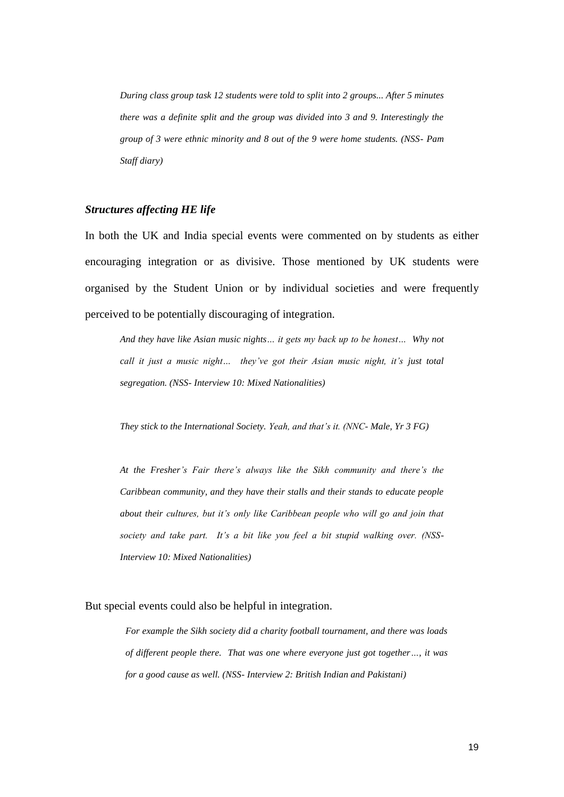*During class group task 12 students were told to split into 2 groups... After 5 minutes there was a definite split and the group was divided into 3 and 9. Interestingly the group of 3 were ethnic minority and 8 out of the 9 were home students. (NSS- Pam Staff diary)*

#### *Structures affecting HE life*

In both the UK and India special events were commented on by students as either encouraging integration or as divisive. Those mentioned by UK students were organised by the Student Union or by individual societies and were frequently perceived to be potentially discouraging of integration.

*And they have like Asian music nights… it gets my back up to be honest… Why not call it just a music night… they"ve got their Asian music night, it"s just total segregation. (NSS- Interview 10: Mixed Nationalities)*

*They stick to the International Society. Yeah, and that"s it. (NNC- Male, Yr 3 FG)*

*At the Fresher"s Fair there"s always like the Sikh community and there"s the Caribbean community, and they have their stalls and their stands to educate people about their cultures, but it"s only like Caribbean people who will go and join that*  society and take part. It's a bit like you feel a bit stupid walking over. (NSS-*Interview 10: Mixed Nationalities)*

But special events could also be helpful in integration.

*For example the Sikh society did a charity football tournament, and there was loads of different people there. That was one where everyone just got together…, it was for a good cause as well. (NSS- Interview 2: British Indian and Pakistani)*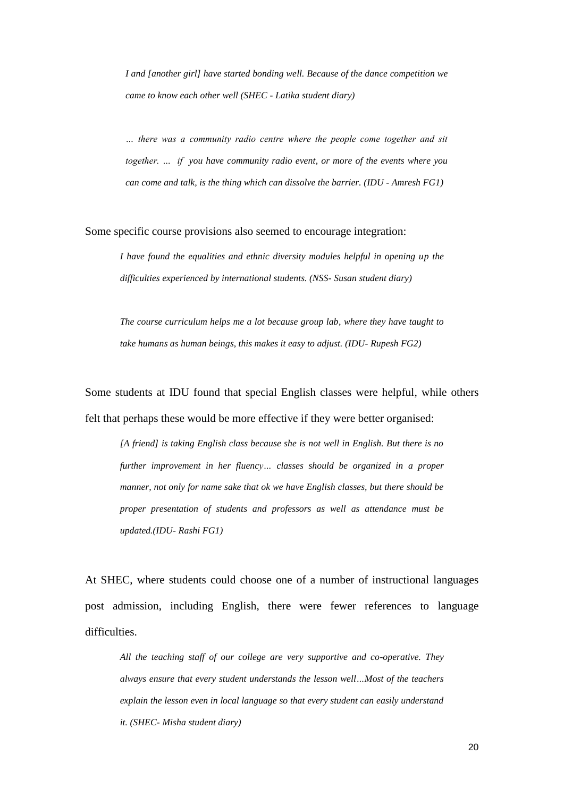*I and [another girl] have started bonding well. Because of the dance competition we came to know each other well (SHEC - Latika student diary)*

*… there was a community radio centre where the people come together and sit together. … if you have community radio event, or more of the events where you can come and talk, is the thing which can dissolve the barrier. (IDU - Amresh FG1)*

Some specific course provisions also seemed to encourage integration:

*I have found the equalities and ethnic diversity modules helpful in opening up the difficulties experienced by international students. (NSS- Susan student diary)*

*The course curriculum helps me a lot because group lab, where they have taught to take humans as human beings, this makes it easy to adjust. (IDU- Rupesh FG2)*

Some students at IDU found that special English classes were helpful, while others felt that perhaps these would be more effective if they were better organised:

*[A friend] is taking English class because she is not well in English. But there is no further improvement in her fluency… classes should be organized in a proper manner, not only for name sake that ok we have English classes, but there should be proper presentation of students and professors as well as attendance must be updated.(IDU- Rashi FG1)*

At SHEC, where students could choose one of a number of instructional languages post admission, including English, there were fewer references to language difficulties.

*All the teaching staff of our college are very supportive and co-operative. They always ensure that every student understands the lesson well…Most of the teachers explain the lesson even in local language so that every student can easily understand it. (SHEC- Misha student diary)*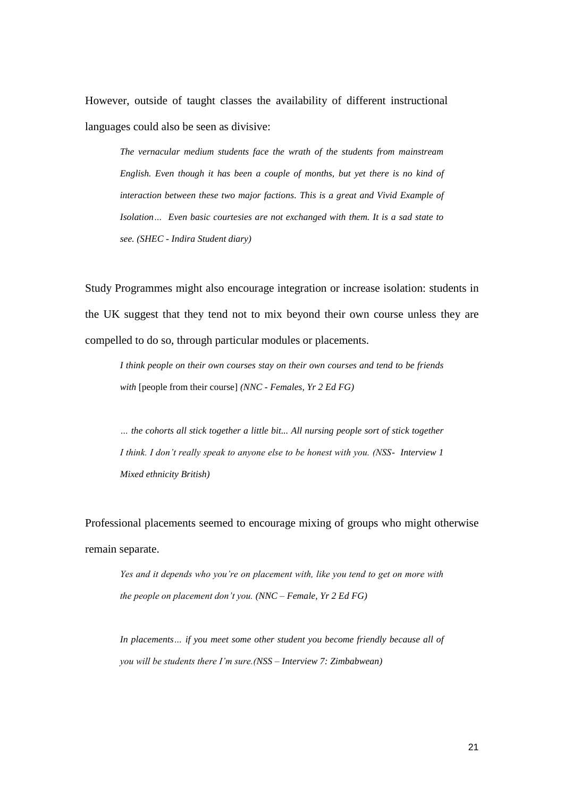However, outside of taught classes the availability of different instructional languages could also be seen as divisive:

*The vernacular medium students face the wrath of the students from mainstream English. Even though it has been a couple of months, but yet there is no kind of interaction between these two major factions. This is a great and Vivid Example of Isolation… Even basic courtesies are not exchanged with them. It is a sad state to see. (SHEC - Indira Student diary)*

Study Programmes might also encourage integration or increase isolation: students in the UK suggest that they tend not to mix beyond their own course unless they are compelled to do so, through particular modules or placements.

*I think people on their own courses stay on their own courses and tend to be friends with* [people from their course] *(NNC - Females, Yr 2 Ed FG)*

*… the cohorts all stick together a little bit... All nursing people sort of stick together I think. I don"t really speak to anyone else to be honest with you. (NSS- Interview 1 Mixed ethnicity British)*

Professional placements seemed to encourage mixing of groups who might otherwise remain separate.

*Yes and it depends who you"re on placement with, like you tend to get on more with the people on placement don"t you. (NNC – Female, Yr 2 Ed FG)*

*In placements… if you meet some other student you become friendly because all of you will be students there I"m sure.(NSS – Interview 7: Zimbabwean)*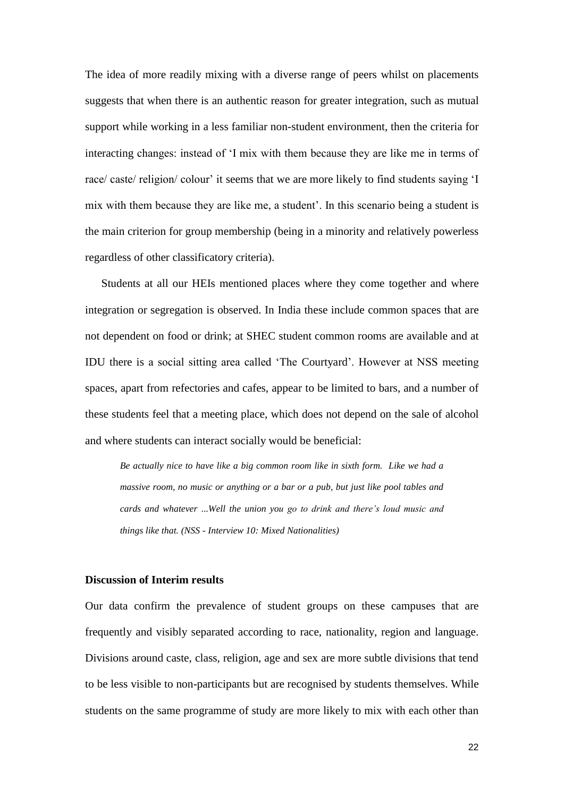The idea of more readily mixing with a diverse range of peers whilst on placements suggests that when there is an authentic reason for greater integration, such as mutual support while working in a less familiar non-student environment, then the criteria for interacting changes: instead of "I mix with them because they are like me in terms of race/ caste/ religion/ colour' it seems that we are more likely to find students saying 'I mix with them because they are like me, a student". In this scenario being a student is the main criterion for group membership (being in a minority and relatively powerless regardless of other classificatory criteria).

Students at all our HEIs mentioned places where they come together and where integration or segregation is observed. In India these include common spaces that are not dependent on food or drink; at SHEC student common rooms are available and at IDU there is a social sitting area called "The Courtyard". However at NSS meeting spaces, apart from refectories and cafes, appear to be limited to bars, and a number of these students feel that a meeting place, which does not depend on the sale of alcohol and where students can interact socially would be beneficial:

*Be actually nice to have like a big common room like in sixth form. Like we had a massive room, no music or anything or a bar or a pub, but just like pool tables and cards and whatever* ...*Well the union you go to drink and there"s loud music and things like that. (NSS - Interview 10: Mixed Nationalities)*

#### **Discussion of Interim results**

Our data confirm the prevalence of student groups on these campuses that are frequently and visibly separated according to race, nationality, region and language. Divisions around caste, class, religion, age and sex are more subtle divisions that tend to be less visible to non-participants but are recognised by students themselves. While students on the same programme of study are more likely to mix with each other than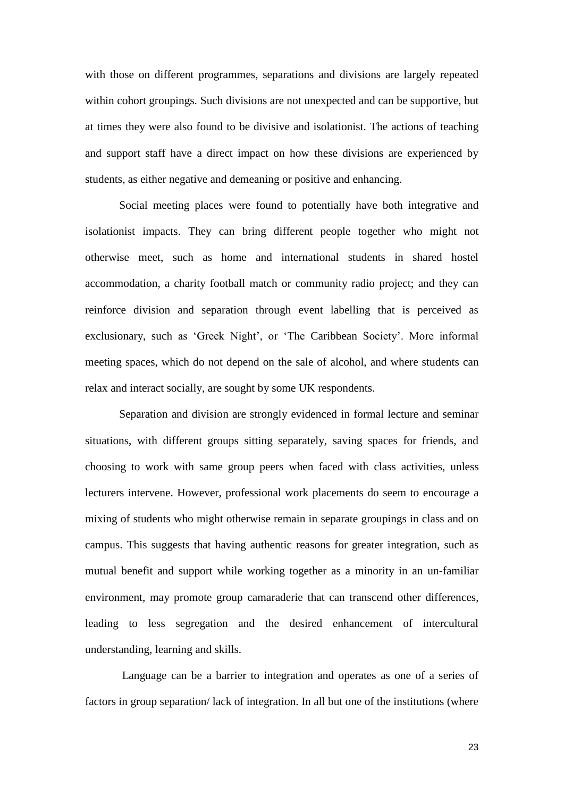with those on different programmes, separations and divisions are largely repeated within cohort groupings. Such divisions are not unexpected and can be supportive, but at times they were also found to be divisive and isolationist. The actions of teaching and support staff have a direct impact on how these divisions are experienced by students, as either negative and demeaning or positive and enhancing.

Social meeting places were found to potentially have both integrative and isolationist impacts. They can bring different people together who might not otherwise meet, such as home and international students in shared hostel accommodation, a charity football match or community radio project; and they can reinforce division and separation through event labelling that is perceived as exclusionary, such as 'Greek Night', or 'The Caribbean Society'. More informal meeting spaces, which do not depend on the sale of alcohol, and where students can relax and interact socially, are sought by some UK respondents.

Separation and division are strongly evidenced in formal lecture and seminar situations, with different groups sitting separately, saving spaces for friends, and choosing to work with same group peers when faced with class activities, unless lecturers intervene. However, professional work placements do seem to encourage a mixing of students who might otherwise remain in separate groupings in class and on campus. This suggests that having authentic reasons for greater integration, such as mutual benefit and support while working together as a minority in an un-familiar environment, may promote group camaraderie that can transcend other differences, leading to less segregation and the desired enhancement of intercultural understanding, learning and skills.

Language can be a barrier to integration and operates as one of a series of factors in group separation/ lack of integration. In all but one of the institutions (where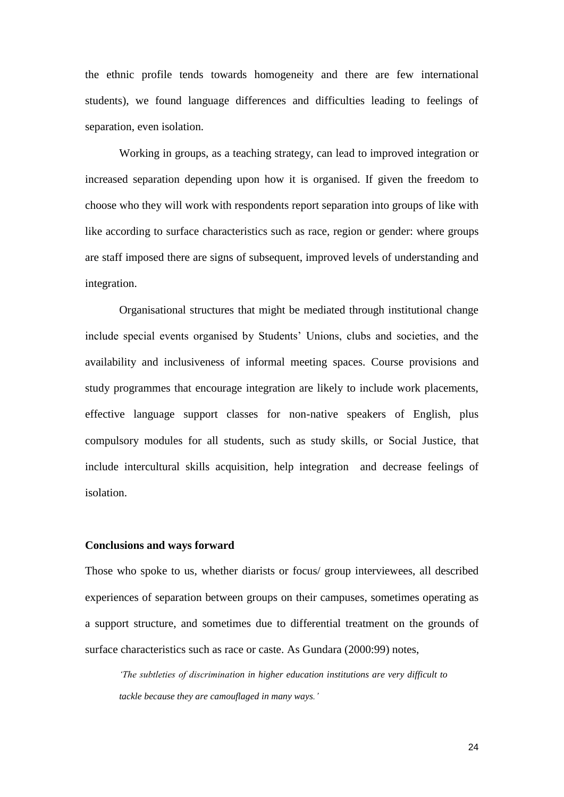the ethnic profile tends towards homogeneity and there are few international students), we found language differences and difficulties leading to feelings of separation, even isolation.

Working in groups, as a teaching strategy, can lead to improved integration or increased separation depending upon how it is organised. If given the freedom to choose who they will work with respondents report separation into groups of like with like according to surface characteristics such as race, region or gender: where groups are staff imposed there are signs of subsequent, improved levels of understanding and integration.

Organisational structures that might be mediated through institutional change include special events organised by Students" Unions, clubs and societies, and the availability and inclusiveness of informal meeting spaces. Course provisions and study programmes that encourage integration are likely to include work placements, effective language support classes for non-native speakers of English, plus compulsory modules for all students, such as study skills, or Social Justice, that include intercultural skills acquisition, help integration and decrease feelings of isolation.

#### **Conclusions and ways forward**

Those who spoke to us, whether diarists or focus/ group interviewees, all described experiences of separation between groups on their campuses, sometimes operating as a support structure, and sometimes due to differential treatment on the grounds of surface characteristics such as race or caste. As Gundara (2000:99) notes,

*"The subtleties of discrimination in higher education institutions are very difficult to tackle because they are camouflaged in many ways."*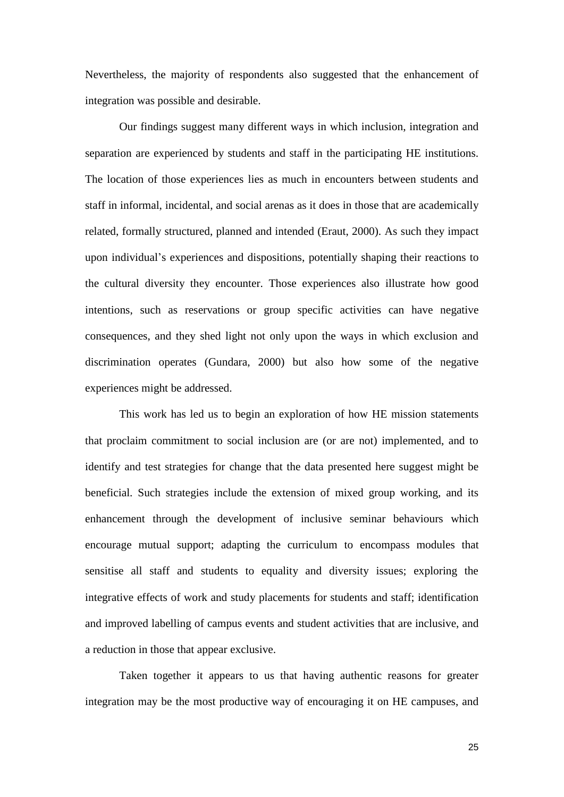Nevertheless, the majority of respondents also suggested that the enhancement of integration was possible and desirable.

Our findings suggest many different ways in which inclusion, integration and separation are experienced by students and staff in the participating HE institutions. The location of those experiences lies as much in encounters between students and staff in informal, incidental, and social arenas as it does in those that are academically related, formally structured, planned and intended (Eraut, 2000). As such they impact upon individual"s experiences and dispositions, potentially shaping their reactions to the cultural diversity they encounter. Those experiences also illustrate how good intentions, such as reservations or group specific activities can have negative consequences, and they shed light not only upon the ways in which exclusion and discrimination operates (Gundara, 2000) but also how some of the negative experiences might be addressed.

This work has led us to begin an exploration of how HE mission statements that proclaim commitment to social inclusion are (or are not) implemented, and to identify and test strategies for change that the data presented here suggest might be beneficial. Such strategies include the extension of mixed group working, and its enhancement through the development of inclusive seminar behaviours which encourage mutual support; adapting the curriculum to encompass modules that sensitise all staff and students to equality and diversity issues; exploring the integrative effects of work and study placements for students and staff; identification and improved labelling of campus events and student activities that are inclusive, and a reduction in those that appear exclusive.

Taken together it appears to us that having authentic reasons for greater integration may be the most productive way of encouraging it on HE campuses, and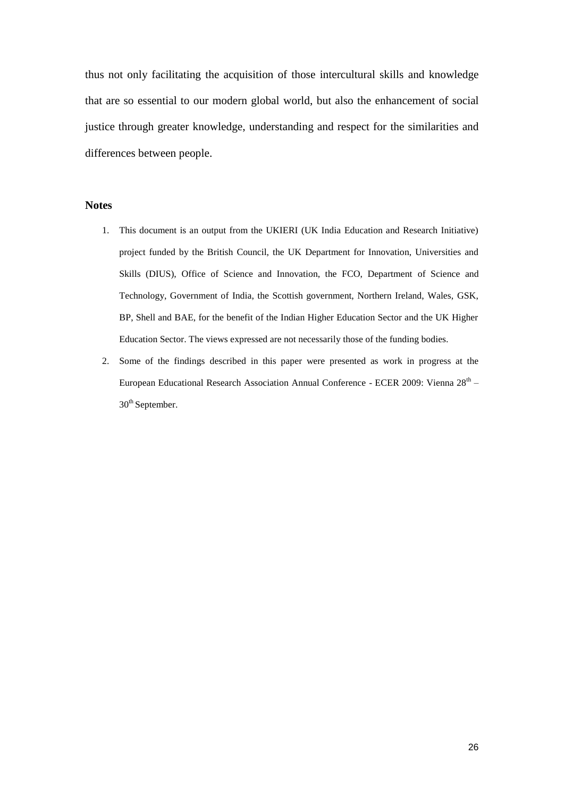thus not only facilitating the acquisition of those intercultural skills and knowledge that are so essential to our modern global world, but also the enhancement of social justice through greater knowledge, understanding and respect for the similarities and differences between people.

#### **Notes**

- 1. This document is an output from the UKIERI (UK India Education and Research Initiative) project funded by the British Council, the UK Department for Innovation, Universities and Skills (DIUS), Office of Science and Innovation, the FCO, Department of Science and Technology, Government of India, the Scottish government, Northern Ireland, Wales, GSK, BP, Shell and BAE, for the benefit of the Indian Higher Education Sector and the UK Higher Education Sector. The views expressed are not necessarily those of the funding bodies.
- 2. Some of the findings described in this paper were presented as work in progress at the European Educational Research Association Annual Conference - ECER 2009: Vienna 28<sup>th</sup> -30<sup>th</sup> September.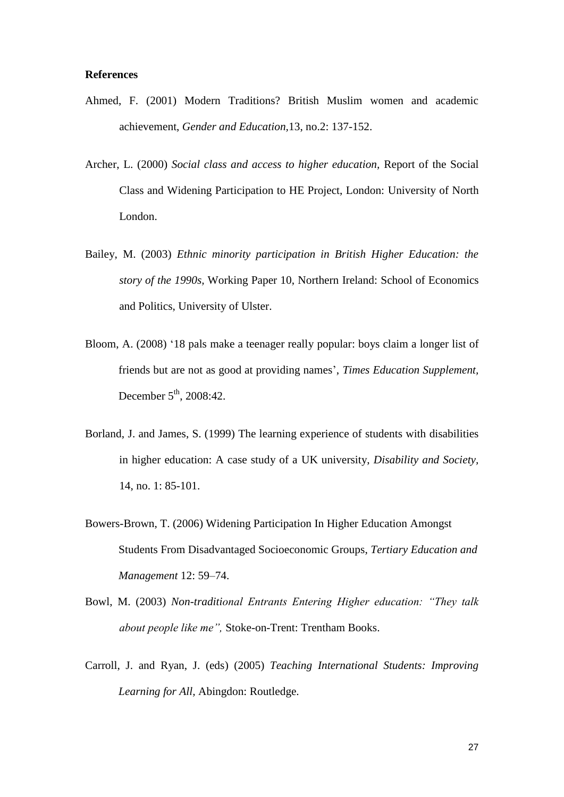#### **References**

- Ahmed, F. (2001) Modern Traditions? British Muslim women and academic achievement, *Gender and Education,*13, no.2: 137-152.
- Archer, L. (2000) *Social class and access to higher education,* Report of the Social Class and Widening Participation to HE Project, London: University of North London.
- Bailey, M. (2003) *Ethnic minority participation in British Higher Education: the story of the 1990s,* Working Paper 10, Northern Ireland: School of Economics and Politics, University of Ulster.
- Bloom, A. (2008) "18 pals make a teenager really popular: boys claim a longer list of friends but are not as good at providing names", *Times Education Supplement,* December 5<sup>th</sup>, 2008:42.
- Borland, J. and James, S. (1999) The learning experience of students with disabilities in higher education: A case study of a UK university, *Disability and Society,* 14, no. 1: 85-101.
- Bowers-Brown, T. (2006) Widening Participation In Higher Education Amongst Students From Disadvantaged Socioeconomic Groups, *Tertiary Education and Management* 12: 59–74.
- Bowl, M. (2003) *Non-traditional Entrants Entering Higher education: "They talk about people like me",* Stoke-on-Trent: Trentham Books.
- Carroll, J. and Ryan, J. (eds) (2005) *Teaching International Students: Improving Learning for All,* Abingdon: Routledge.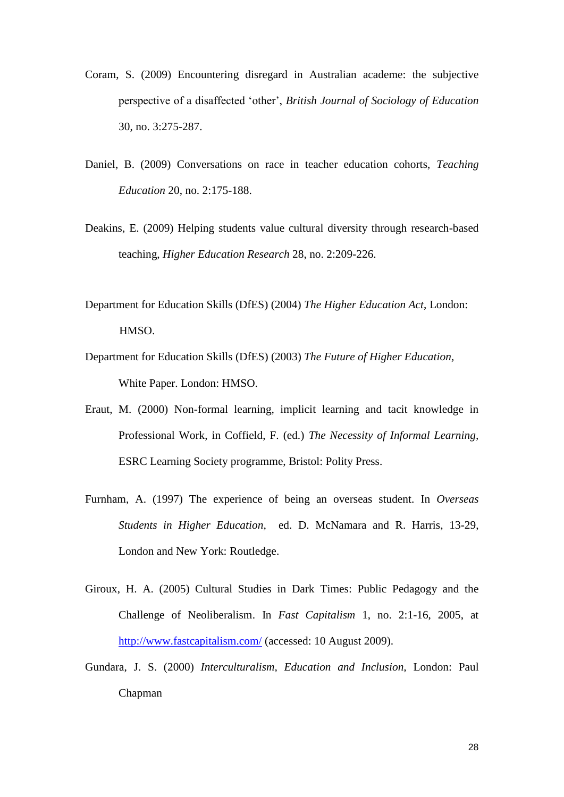- Coram, S. (2009) Encountering disregard in Australian academe: the subjective perspective of a disaffected "other", *British Journal of Sociology of Education* 30, no. 3:275-287.
- Daniel, B. (2009) Conversations on race in teacher education cohorts, *Teaching Education* 20, no. 2:175-188.
- Deakins, E. (2009) Helping students value cultural diversity through research-based teaching, *Higher Education Research* 28, no. 2:209-226.
- Department for Education Skills (DfES) (2004) *The Higher Education Act*, London: HMSO.
- Department for Education Skills (DfES) (2003) *The Future of Higher Education,* White Paper. London: HMSO.
- Eraut, M. (2000) Non-formal learning, implicit learning and tacit knowledge in Professional Work, in Coffield, F. (ed.) *The Necessity of Informal Learning,*  ESRC Learning Society programme, Bristol: Polity Press.
- Furnham, A. (1997) The experience of being an overseas student. In *Overseas Students in Higher Education*, ed. D. McNamara and R. Harris, 13-29, London and New York: Routledge.
- Giroux, H. A. (2005) Cultural Studies in Dark Times: Public Pedagogy and the Challenge of Neoliberalism. In *Fast Capitalism* 1, no. 2:1-16, 2005, at <http://www.fastcapitalism.com/> (accessed: 10 August 2009).
- Gundara, J. S. (2000) *Interculturalism, Education and Inclusion,* London: Paul Chapman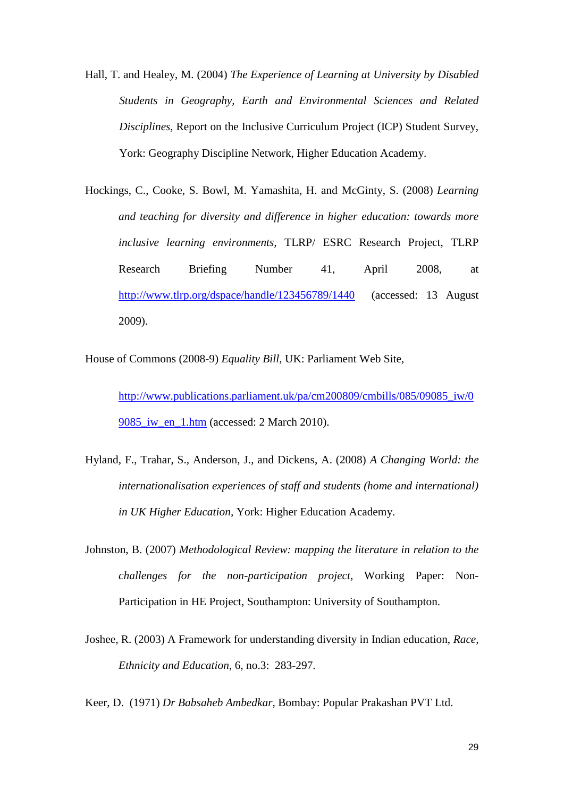- Hall, T. and Healey, M. (2004) *The Experience of Learning at University by Disabled Students in Geography, Earth and Environmental Sciences and Related Disciplines,* Report on the Inclusive Curriculum Project (ICP) Student Survey, York: Geography Discipline Network, Higher Education Academy.
- Hockings, C., Cooke, S. Bowl, M. Yamashita, H. and McGinty, S. (2008) *Learning and teaching for diversity and difference in higher education: towards more inclusive learning environments,* TLRP/ ESRC Research Project, TLRP Research Briefing Number 41, April 2008, at <http://www.tlrp.org/dspace/handle/123456789/1440> (accessed: 13 August 2009).

House of Commons (2008-9) *Equality Bill,* UK: Parliament Web Site,

[http://www.publications.parliament.uk/pa/cm200809/cmbills/085/09085\\_iw/0](http://www.publications.parliament.uk/pa/cm200809/cmbills/085/09085_iw/09085_iw_en_1.htm) 9085 iw en 1.htm (accessed: 2 March 2010).

- Hyland, F., Trahar, S., Anderson, J., and Dickens, A. (2008) *A Changing World: the internationalisation experiences of staff and students (home and international) in UK Higher Education,* York: Higher Education Academy.
- Johnston, B. (2007) *Methodological Review: mapping the literature in relation to the challenges for the non-participation project,* Working Paper: Non-Participation in HE Project, Southampton: University of Southampton.
- Joshee, R. (2003) A Framework for understanding diversity in Indian education, *Race, Ethnicity and Education*, 6, no.3: 283-297.

Keer, D. (1971) *Dr Babsaheb Ambedkar,* Bombay: Popular Prakashan PVT Ltd.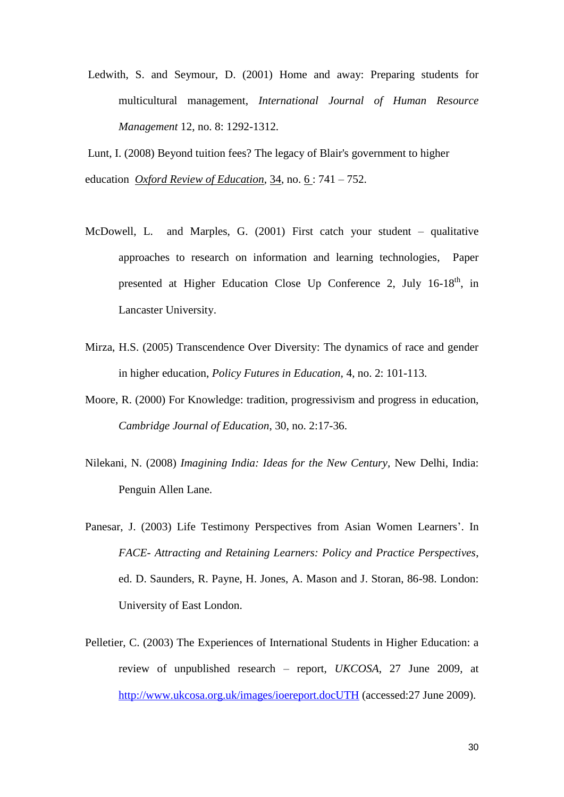Ledwith, S. and Seymour, D. (2001) Home and away: Preparing students for multicultural management, *International Journal of Human Resource Management* 12, no. 8: 1292-1312.

Lunt, I. (2008) Beyond tuition fees? The legacy of Blair's government to higher education *[Oxford Review of Education](http://www.informaworld.com/smpp/title~db=all~content=t713440173)*, [34,](http://www.informaworld.com/smpp/title~db=all~content=t713440173~tab=issueslist~branches=34#v34) no. [6 :](http://www.informaworld.com/smpp/title~db=all~content=g905627239) 741 – 752.

- McDowell, L. and Marples, G. (2001) First catch your student qualitative approaches to research on information and learning technologies, Paper presented at Higher Education Close Up Conference 2, July  $16-18^{th}$ , in Lancaster University.
- Mirza, H.S. (2005) Transcendence Over Diversity: The dynamics of race and gender in higher education, *[Policy Futures in Education,](http://www.wwwords.co.uk/pfie/)* 4, no. 2: 101-113.
- Moore, R. (2000) For Knowledge: tradition, progressivism and progress in education, *Cambridge Journal of Education*, 30, no. 2:17-36.
- Nilekani, N. (2008) *Imagining India: Ideas for the New Century,* New Delhi, India: Penguin Allen Lane.
- Panesar, J. (2003) Life Testimony Perspectives from Asian Women Learners'. In *FACE*- *Attracting and Retaining Learners: Policy and Practice Perspectives*, ed. D. Saunders, R. Payne, H. Jones, A. Mason and J. Storan, 86-98. London: University of East London.
- Pelletier, C. (2003) The Experiences of International Students in Higher Education: a review of unpublished research – report, *UKCOSA*, 27 June 2009, at <http://www.ukcosa.org.uk/images/ioereport.docUTH> (accessed:27 June 2009).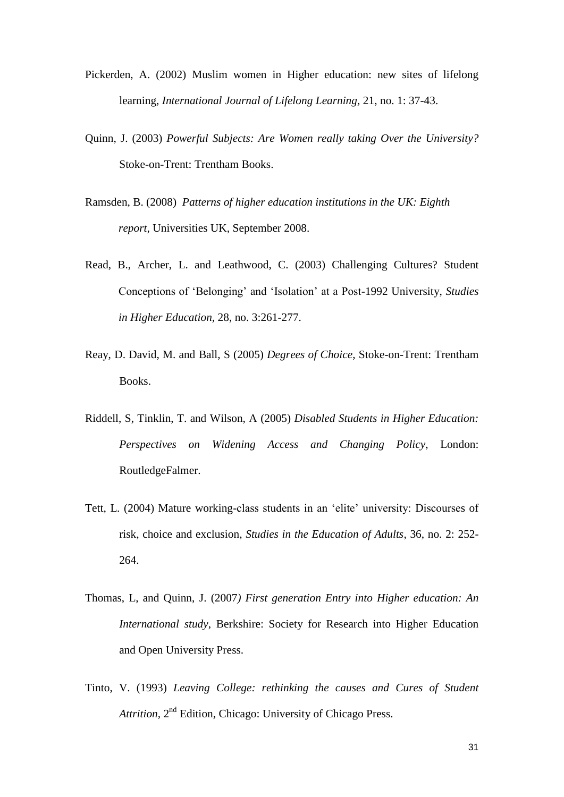- Pickerden, A. (2002) Muslim women in Higher education: new sites of lifelong learning, *International Journal of Lifelong Learning,* 21, no. 1: 37-43.
- Quinn, J. (2003) *Powerful Subjects: Are Women really taking Over the University?* Stoke-on-Trent: Trentham Books.
- Ramsden, B. (2008) *Patterns of higher education institutions in the UK: Eighth report,* Universities UK, September 2008.
- Read, B., Archer, L. and Leathwood, C. (2003) Challenging Cultures? Student Conceptions of "Belonging" and "Isolation" at a Post-1992 University, *Studies in Higher Education,* 28, no. 3:261-277.
- Reay, D. David, M. and Ball, S (2005) *Degrees of Choice*, Stoke-on-Trent: Trentham Books.
- Riddell, S, Tinklin, T. and Wilson, A (2005) *Disabled Students in Higher Education: Perspectives on Widening Access and Changing Policy*, London: RoutledgeFalmer.
- Tett, L. (2004) Mature working-class students in an "elite" university: Discourses of risk, choice and exclusion, *Studies in the Education of Adults*, 36, no. 2: 252- 264.
- Thomas, L, and Quinn, J. (2007*) First generation Entry into Higher education: An International study*, Berkshire: Society for Research into Higher Education and Open University Press.
- Tinto, V. (1993) *Leaving College: rethinking the causes and Cures of Student*  Attrition, 2<sup>nd</sup> Edition, Chicago: University of Chicago Press.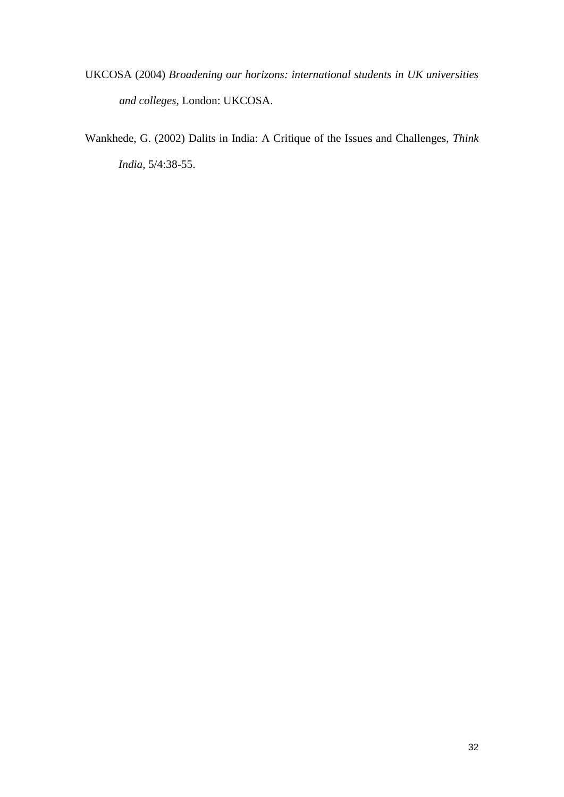- UKCOSA (2004) *Broadening our horizons: international students in UK universities and colleges,* London: UKCOSA.
- Wankhede, G. (2002) Dalits in India: A Critique of the Issues and Challenges, *Think India,* 5/4:38-55.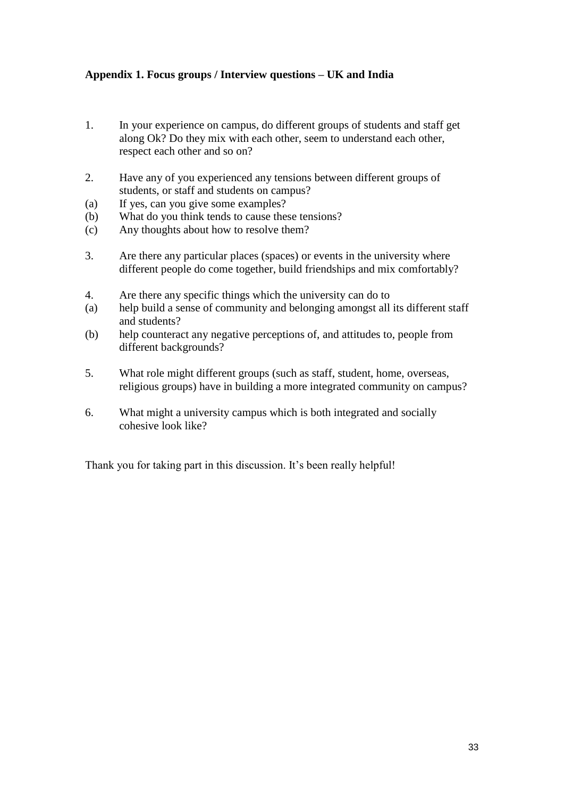### **Appendix 1. Focus groups / Interview questions – UK and India**

- 1. In your experience on campus, do different groups of students and staff get along Ok? Do they mix with each other, seem to understand each other, respect each other and so on?
- 2. Have any of you experienced any tensions between different groups of students, or staff and students on campus?
- (a) If yes, can you give some examples?
- (b) What do you think tends to cause these tensions?
- (c) Any thoughts about how to resolve them?
- 3. Are there any particular places (spaces) or events in the university where different people do come together, build friendships and mix comfortably?
- 4. Are there any specific things which the university can do to
- (a) help build a sense of community and belonging amongst all its different staff and students?
- (b) help counteract any negative perceptions of, and attitudes to, people from different backgrounds?
- 5. What role might different groups (such as staff, student, home, overseas, religious groups) have in building a more integrated community on campus?
- 6. What might a university campus which is both integrated and socially cohesive look like?

Thank you for taking part in this discussion. It's been really helpful!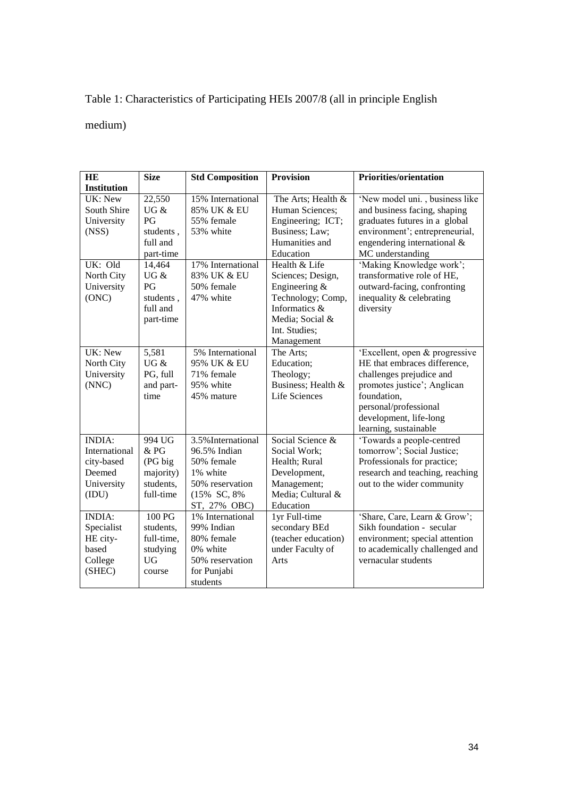# Table 1: Characteristics of Participating HEIs 2007/8 (all in principle English

# medium)

| <b>HE</b>          | <b>Size</b> | <b>Std Composition</b> | <b>Provision</b>    | <b>Priorities/orientation</b>                             |
|--------------------|-------------|------------------------|---------------------|-----------------------------------------------------------|
| <b>Institution</b> |             |                        |                     |                                                           |
| UK: New            | 22,550      | 15% International      | The Arts; Health &  | 'New model uni., business like                            |
| South Shire        | UG &        | 85% UK & EU            | Human Sciences:     | and business facing, shaping                              |
| University         | PG          | 55% female             | Engineering; ICT;   | graduates futures in a global                             |
| (NS)               | students,   | 53% white              | Business; Law;      | environment'; entrepreneurial,                            |
|                    | full and    |                        | Humanities and      | engendering international &                               |
|                    | part-time   |                        | Education           | MC understanding                                          |
| UK: Old            | 14,464      | 17% International      | Health & Life       | 'Making Knowledge work';                                  |
| North City         | UG &        | 83% UK & EU            | Sciences; Design,   | transformative role of HE,                                |
| University         | PG          | 50% female             | Engineering &       | outward-facing, confronting                               |
| (ONC)              | students,   | 47% white              | Technology; Comp,   | inequality & celebrating                                  |
|                    | full and    |                        | Informatics &       | diversity                                                 |
|                    | part-time   |                        | Media; Social &     |                                                           |
|                    |             |                        | Int. Studies;       |                                                           |
|                    |             |                        | Management          |                                                           |
| UK: New            | 5,581       | 5% International       | The Arts;           | 'Excellent, open & progressive                            |
| North City         | UG &        | 95% UK & EU            | Education:          | HE that embraces difference,                              |
| University         | PG, full    | 71% female             | Theology;           | challenges prejudice and                                  |
| (NNC)              | and part-   | 95% white              | Business; Health &  | promotes justice'; Anglican                               |
|                    | time        | 45% mature             | Life Sciences       | foundation,                                               |
|                    |             |                        |                     | personal/professional                                     |
|                    |             |                        |                     | development, life-long                                    |
| <b>INDIA:</b>      | 994 UG      | 3.5% International     | Social Science &    | learning, sustainable                                     |
| International      | & PG        | 96.5% Indian           | Social Work;        | 'Towards a people-centred                                 |
| city-based         | (PG big     | 50% female             | Health; Rural       | tomorrow'; Social Justice;<br>Professionals for practice; |
| Deemed             | majority)   | 1% white               | Development,        | research and teaching, reaching                           |
| University         | students,   | 50% reservation        | Management;         | out to the wider community                                |
| (IDU)              | full-time   | (15% SC, 8%)           | Media; Cultural &   |                                                           |
|                    |             | ST, 27% OBC)           | Education           |                                                           |
| <b>INDIA:</b>      | 100 PG      | 1% International       | 1yr Full-time       | 'Share, Care, Learn & Grow';                              |
| Specialist         | students,   | 99% Indian             | secondary BEd       | Sikh foundation - secular                                 |
| HE city-           | full-time,  | 80% female             | (teacher education) | environment; special attention                            |
| based              | studying    | 0% white               | under Faculty of    | to academically challenged and                            |
| College            | <b>UG</b>   | 50% reservation        | Arts                | vernacular students                                       |
| (SHEC)             | course      | for Punjabi            |                     |                                                           |
|                    |             | students               |                     |                                                           |